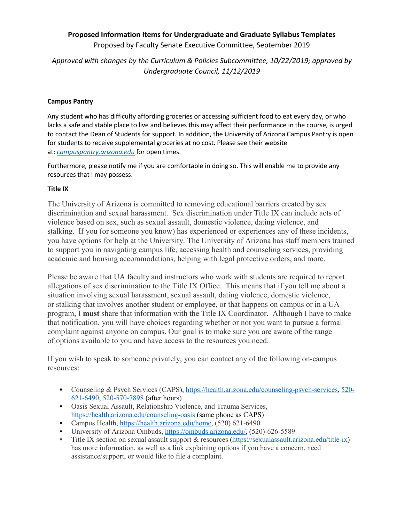# **Proposed Information Items for Undergraduate and Graduate Syllabus Templates**

Proposed by Faculty Senate Executive Committee, September 2019

*Approved with changes by the Curriculum & Policies Subcommittee, 10/22/2019; approved by Undergraduate Council, 11/12/2019*

### **Campus Pantry**

Any student who has difficulty affording groceries or accessing sufficient food to eat every day, or who lacks a safe and stable place to live and believes this may affect their performance in the course, is urged to contact the Dean of Students for support. In addition, the University of Arizona Campus Pantry is open for students to receive supplemental groceries at no cost. Please see their website at: *[campuspantry.arizona.edu](http://campuspantry.arizona.edu/)* for open times.

Furthermore, please notify me if you are comfortable in doing so. This will enable me to provide any resources that I may possess.

## **Title IX**

The University of Arizona is committed to removing educational barriers created by sex discrimination and sexual harassment. Sex discrimination under Title IX can include acts of violence based on sex, such as sexual assault, domestic violence, dating violence, and stalking. If you (or someone you know) has experienced or experiences any of these incidents, you have options for help at the University. The University of Arizona has staff members trained to support you in navigating campus life, accessing health and counseling services, providing academic and housing accommodations, helping with legal protective orders, and more.

Please be aware that UA faculty and instructors who work with students are required to report allegations of sex discrimination to the Title IX Office. This means that if you tell me about a situation involving sexual harassment, sexual assault, dating violence, domestic violence, or stalking that involves another student or employee, or that happens on campus or in a UA program, I **must** share that information with the Title IX Coordinator. Although I have to make that notification, you will have choices regarding whether or not you want to pursue a formal complaint against anyone on campus. Our goal is to make sure you are aware of the range of options available to you and have access to the resources you need.

If you wish to speak to someone privately, you can contact any of the following on-campus resources:

- Counseling & Psych Services (CAPS), [https://health.arizona.edu/counseling-psych-services,](https://health.arizona.edu/counseling-psych-services) [520-](tel:520-621-6490) [621-6490,](tel:520-621-6490) [520-570-7898](tel:520-570-7898) (after hours)
- Oasis Sexual Assault, Relationship Violence, and Trauma Services, <https://health.arizona.edu/counseling-oasis> (same phone as CAPS)
- Campus Health[, https://health.arizona.edu/home,](https://health.arizona.edu/home) (520) 621-6490
- University of Arizona Ombuds, [https://ombuds.arizona.edu/,](https://ombuds.arizona.edu/) (520)-626-5589
- Title IX section on sexual assault support & resources [\(https://sexualassault.arizona.edu/title-ix\)](https://sexualassault.arizona.edu/title-ix) has more information, as well as a link explaining options if you have a concern, need assistance/support, or would like to file a complaint.